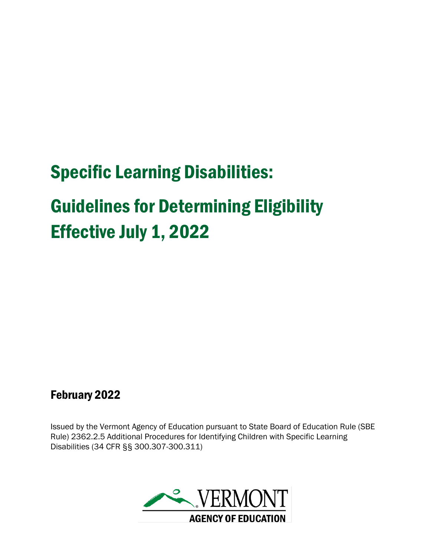# Specific Learning Disabilities:

# Guidelines for Determining Eligibility Effective July 1, 2022

# February 2022

Issued by the Vermont Agency of Education pursuant to State Board of Education Rule (SBE Rule) 2362.2.5 Additional Procedures for Identifying Children with Specific Learning Disabilities (34 CFR §§ 300.307-300.311)

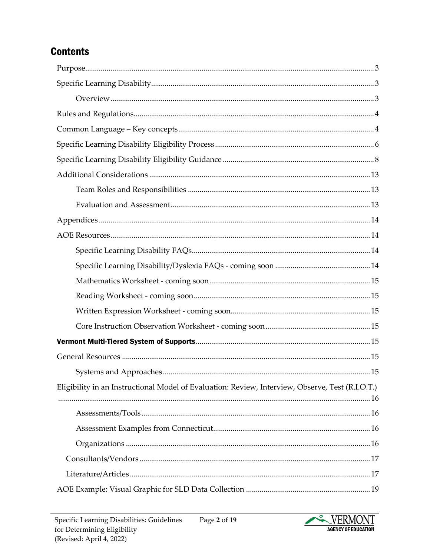# **Contents**

| Eligibility in an Instructional Model of Evaluation: Review, Interview, Observe, Test (R.I.O.T.) |
|--------------------------------------------------------------------------------------------------|
|                                                                                                  |
|                                                                                                  |
|                                                                                                  |
|                                                                                                  |
|                                                                                                  |
|                                                                                                  |

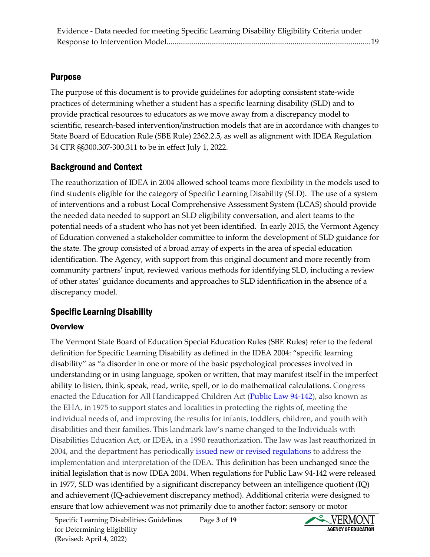# <span id="page-2-0"></span>Purpose

The purpose of this document is to provide guidelines for adopting consistent state-wide practices of determining whether a student has a specific learning disability (SLD) and to provide practical resources to educators as we move away from a discrepancy model to scientific, research-based intervention/instruction models that are in accordance with changes to State Board of Education Rule (SBE Rule) 2362.2.5, as well as alignment with IDEA Regulation 34 CFR §§300.307-300.311 to be in effect July 1, 2022.

# Background and Context

The reauthorization of IDEA in 2004 allowed school teams more flexibility in the models used to find students eligible for the category of Specific Learning Disability (SLD). The use of a system of interventions and a robust Local Comprehensive Assessment System (LCAS) should provide the needed data needed to support an SLD eligibility conversation, and alert teams to the potential needs of a student who has not yet been identified. In early 2015, the Vermont Agency of Education convened a stakeholder committee to inform the development of SLD guidance for the state. The group consisted of a broad array of experts in the area of special education identification. The Agency, with support from this original document and more recently from community partners' input, reviewed various methods for identifying SLD, including a review of other states' guidance documents and approaches to SLD identification in the absence of a discrepancy model.

## <span id="page-2-1"></span>Specific Learning Disability

#### <span id="page-2-2"></span>**Overview**

The Vermont State Board of Education Special Education Rules (SBE Rules) refer to the federal definition for Specific Learning Disability as defined in the IDEA 2004: "specific learning disability" as "a disorder in one or more of the basic psychological processes involved in understanding or in using language, spoken or written, that may manifest itself in the imperfect ability to listen, think, speak, read, write, spell, or to do mathematical calculations. Congress enacted the Education for All Handicapped Children Act [\(Public Law 94-142\)](https://www.govinfo.gov/content/pkg/STATUTE-89/pdf/STATUTE-89-Pg773.pdf), also known as the EHA, in 1975 to support states and localities in protecting the rights of, meeting the individual needs of, and improving the results for infants, toddlers, children, and youth with disabilities and their families. This landmark law's name changed to the Individuals with Disabilities Education Act, or IDEA, in a 1990 reauthorization. The law was last reauthorized in 2004, and the department has periodically *issued new or revised regulations* to address the implementation and interpretation of the IDEA. This definition has been unchanged since the initial legislation that is now IDEA 2004. When regulations for Public Law 94-142 were released in 1977, SLD was identified by a significant discrepancy between an intelligence quotient (IQ) and achievement (IQ-achievement discrepancy method). Additional criteria were designed to ensure that low achievement was not primarily due to another factor: sensory or motor

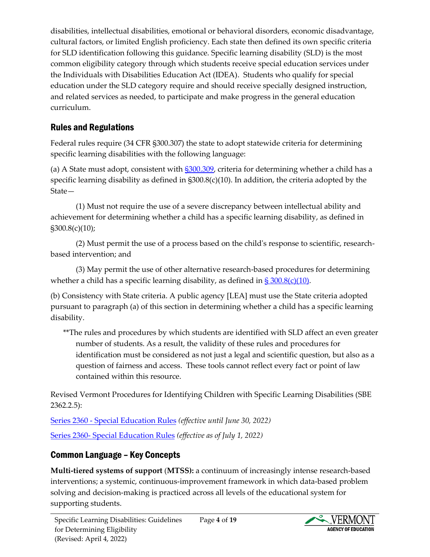disabilities, intellectual disabilities, emotional or behavioral disorders, economic disadvantage, cultural factors, or limited English proficiency. Each state then defined its own specific criteria for SLD identification following this guidance. Specific learning disability (SLD) is the most common eligibility category through which students receive special education services under the Individuals with Disabilities Education Act (IDEA). Students who qualify for special education under the SLD category require and should receive specially designed instruction, and related services as needed, to participate and make progress in the general education curriculum.

# <span id="page-3-0"></span>Rules and Regulations

Federal rules require (34 CFR §300.307) the state to adopt statewide criteria for determining specific learning disabilities with the following language:

(a) A State must adopt, consistent with [§300.309,](https://sites.ed.gov/idea/regs/b/d/300.309) criteria for determining whether a child has a specific learning disability as defined in  $\S300.8(c)(10)$ . In addition, the criteria adopted by the State—

(1) Must not require the use of a severe discrepancy between intellectual ability and achievement for determining whether a child has a specific learning disability, as defined in §300.8(c)(10);

(2) Must permit the use of a process based on the child's response to scientific, researchbased intervention; and

(3) May permit the use of other alternative research-based procedures for determining whether a child has a specific learning disability, as defined in  $\S 300.8(c)(10)$ .

(b) Consistency with State criteria. A public agency [LEA] must use the State criteria adopted pursuant to paragraph (a) of this section in determining whether a child has a specific learning disability.

\*\*The rules and procedures by which students are identified with SLD affect an even greater number of students. As a result, the validity of these rules and procedures for identification must be considered as not just a legal and scientific question, but also as a question of fairness and access. These tools cannot reflect every fact or point of law contained within this resource.

Revised Vermont Procedures for Identifying Children with Specific Learning Disabilities (SBE 2362.2.5):

[Series 2360 - Special Education Rules](https://education.vermont.gov/documents/state-board-rules-series-2360) *(effective until June 30, 2022)* [Series 2360- Special Education Rules](https://education.vermont.gov/documents/VT-State-Board-of-Education-Rule-Series-2360) *(effective as of July 1, 2022)*

# <span id="page-3-1"></span>Common Language – Key Concepts

**Multi-tiered systems of support** (**MTSS):** a continuum of increasingly intense research-based interventions; a systemic, continuous-improvement framework in which data-based problem solving and decision-making is practiced across all levels of the educational system for supporting students.

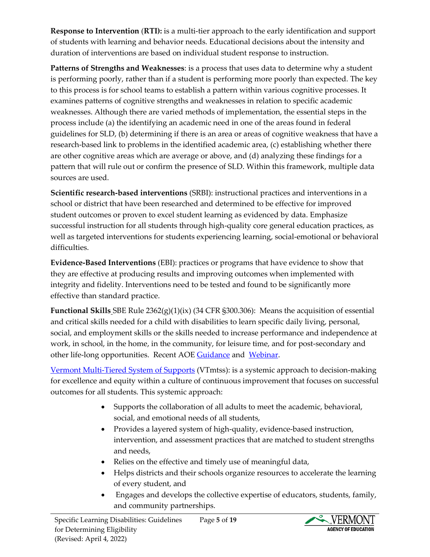**Response to Intervention** (**RTI):** is a multi-tier approach to the early identification and support of students with learning and behavior needs. Educational decisions about the intensity and duration of interventions are based on individual student response to instruction.

**Patterns of Strengths and Weaknesses**: is a process that uses data to determine why a student is performing poorly, rather than if a student is performing more poorly than expected. The key to this process is for school teams to establish a pattern within various cognitive processes. It examines patterns of cognitive strengths and weaknesses in relation to specific academic weaknesses. Although there are varied methods of implementation, the essential steps in the process include (a) the identifying an academic need in one of the areas found in federal guidelines for SLD, (b) determining if there is an area or areas of cognitive weakness that have a research-based link to problems in the identified academic area, (c) establishing whether there are other cognitive areas which are average or above, and (d) analyzing these findings for a pattern that will rule out or confirm the presence of SLD. Within this framework, multiple data sources are used.

**Scientific research-based interventions** (SRBI): instructional practices and interventions in a school or district that have been researched and determined to be effective for improved student outcomes or proven to excel student learning as evidenced by data. Emphasize successful instruction for all students through high-quality core general education practices, as well as targeted interventions for students experiencing learning, social-emotional or behavioral difficulties.

**Evidence-Based Interventions** (EBI): practices or programs that have evidence to show that they are effective at producing results and improving outcomes when implemented with integrity and fidelity. Interventions need to be tested and found to be significantly more effective than standard practice.

**Functional Skills** SBE Rule 2362(g)(1)(ix) (34 CFR §300.306): Means the acquisition of essential and critical skills needed for a child with disabilities to learn specific daily living, personal, social, and employment skills or the skills needed to increase performance and independence at work, in school, in the home, in the community, for leisure time, and for post-secondary and other life-long opportunities. Recent AOE [Guidance](https://education.vermont.gov/documents/edu-guidance-to-rule-change-functional-skills-functional-performance) and [Webinar.](https://youtu.be/YhMBtcFuc6Y)

[Vermont Multi-Tiered System of Supports](https://education.vermont.gov/student-support/vermont-multi-tiered-system-of-supports) (VTmtss): is a systemic approach to decision-making for excellence and equity within a culture of continuous improvement that focuses on successful outcomes for all students. This systemic approach:

- Supports the collaboration of all adults to meet the academic, behavioral, social, and emotional needs of all students,
- Provides a layered system of high-quality, evidence-based instruction, intervention, and assessment practices that are matched to student strengths and needs,
- Relies on the effective and timely use of meaningful data,
- Helps districts and their schools organize resources to accelerate the learning of every student, and
- Engages and develops the collective expertise of educators, students, family, and community partnerships.

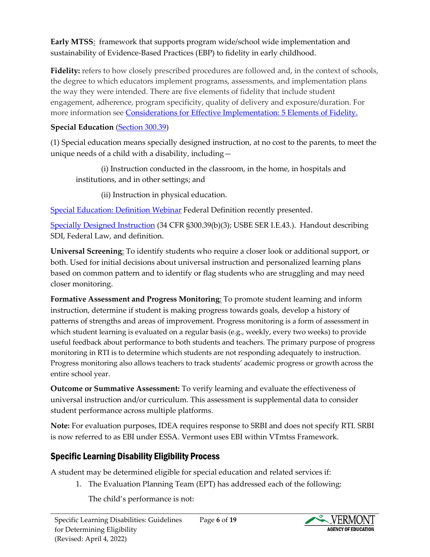**Early MTSS**: framework that supports program wide/school wide implementation and sustainability of Evidence-Based Practices (EBP) to fidelity in early childhood.

**Fidelity:** refers to how closely prescribed procedures are followed and, in the context of schools, the degree to which educators implement programs, assessments, and implementation plans the way they were intended. There are five elements of fidelity that include student engagement, adherence, program specificity, quality of delivery and exposure/duration. For more information see Considerations [for Effective Implementation: 5 Elements of Fidelity.](https://intensiveintervention.org/resource/five-elements-fidelity)

#### **Special Education** [\(Section 300.39\)](https://sites.ed.gov/idea/regs/b/a/300.39)

(1) Special education means specially designed instruction, at no cost to the parents, to meet the unique needs of a child with a disability, including—

(i) Instruction conducted in the classroom, in the home, in hospitals and institutions, and in other settings; and

(ii) Instruction in physical education.

Special [Education:](https://youtu.be/fq4VD2x6ux0) Definition Webinar Federal Definition recently presented.

[Specially Designed Instruction](https://education.vermont.gov/documents/edu-specially-designed-instruction-handout) (34 CFR §300.39(b)(3); USBE SER I.E.43.). Handout describing SDI, Federal Law, and definition.

**Universal Screening**: To identify students who require a closer look or additional support, or both. Used for initial decisions about universal instruction and personalized learning plans based on common pattern and to identify or flag students who are struggling and may need closer monitoring.

**Formative Assessment and Progress Monitoring**: To promote student learning and inform instruction, determine if student is making progress towards goals, develop a history of patterns of strengths and areas of improvement. Progress monitoring is a form of assessment in which student learning is evaluated on a regular basis (e.g., weekly, every two weeks) to provide useful feedback about performance to both students and teachers. The primary purpose of progress monitoring in RTI is to determine which students are not responding adequately to instruction. Progress monitoring also allows teachers to track students' academic progress or growth across the entire school year.

**Outcome or Summative Assessment:** To verify learning and evaluate the effectiveness of universal instruction and/or curriculum. This assessment is supplemental data to consider student performance across multiple platforms.

**Note:** For evaluation purposes, IDEA requires response to SRBI and does not specify RTI. SRBI is now referred to as EBI under ESSA. Vermont uses EBI within VTmtss Framework.

# <span id="page-5-0"></span>Specific Learning Disability Eligibility Process

A student may be determined eligible for special education and related services if:

1. The Evaluation Planning Team (EPT) has addressed each of the following:

The child's performance is not:

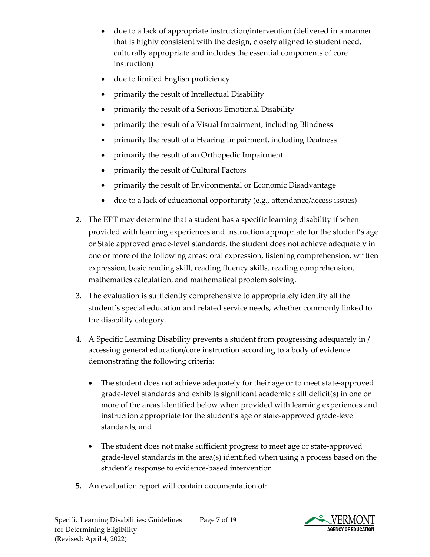- due to a lack of appropriate instruction/intervention (delivered in a manner that is highly consistent with the design, closely aligned to student need, culturally appropriate and includes the essential components of core instruction)
- due to limited English proficiency
- primarily the result of Intellectual Disability
- primarily the result of a Serious Emotional Disability
- primarily the result of a Visual Impairment, including Blindness
- primarily the result of a Hearing Impairment, including Deafness
- primarily the result of an Orthopedic Impairment
- primarily the result of Cultural Factors
- primarily the result of Environmental or Economic Disadvantage
- due to a lack of educational opportunity (e.g., attendance/access issues)
- 2. The EPT may determine that a student has a specific learning disability if when provided with learning experiences and instruction appropriate for the student's age or State approved grade-level standards, the student does not achieve adequately in one or more of the following areas: oral expression, listening comprehension, written expression, basic reading skill, reading fluency skills, reading comprehension, mathematics calculation, and mathematical problem solving.
- 3. The evaluation is sufficiently comprehensive to appropriately identify all the student's special education and related service needs, whether commonly linked to the disability category.
- 4. A Specific Learning Disability prevents a student from progressing adequately in / accessing general education/core instruction according to a body of evidence demonstrating the following criteria:
	- The student does not achieve adequately for their age or to meet state-approved grade-level standards and exhibits significant academic skill deficit(s) in one or more of the areas identified below when provided with learning experiences and instruction appropriate for the student's age or state-approved grade-level standards, and
	- The student does not make sufficient progress to meet age or state-approved grade-level standards in the area(s) identified when using a process based on the student's response to evidence-based intervention
- **5.** An evaluation report will contain documentation of:

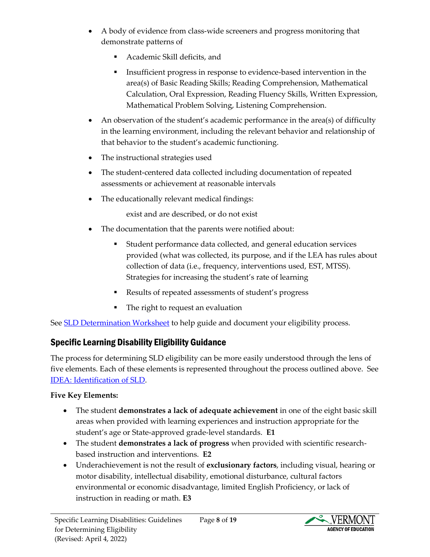- A body of evidence from class-wide screeners and progress monitoring that demonstrate patterns of
	- Academic Skill deficits, and
	- Insufficient progress in response to evidence-based intervention in the area(s) of Basic Reading Skills; Reading Comprehension, Mathematical Calculation, Oral Expression, Reading Fluency Skills, Written Expression, Mathematical Problem Solving, Listening Comprehension.
- An observation of the student's academic performance in the area(s) of difficulty in the learning environment, including the relevant behavior and relationship of that behavior to the student's academic functioning.
- The instructional strategies used
- The student-centered data collected including documentation of repeated assessments or achievement at reasonable intervals
- The educationally relevant medical findings:

exist and are described, or do not exist

- The documentation that the parents were notified about:
	- Student performance data collected, and general education services provided (what was collected, its purpose, and if the LEA has rules about collection of data (i.e., frequency, interventions used, EST, MTSS). Strategies for increasing the student's rate of learning
	- Results of repeated assessments of student's progress
	- The right to request an evaluation

See **SLD** Determination Worksheet to help guide and document your eligibility process.

# <span id="page-7-0"></span>Specific Learning Disability Eligibility Guidance

The process for determining SLD eligibility can be more easily understood through the lens of five elements. Each of these elements is represented throughout the process outlined above. See [IDEA: Identification of SLD.](https://sites.ed.gov/idea/files/Identification_of_SLD_10-4-06.pdf)

#### **Five Key Elements:**

- The student **demonstrates a lack of adequate achievement** in one of the eight basic skill areas when provided with learning experiences and instruction appropriate for the student's age or State-approved grade-level standards. **E1**
- The student **demonstrates a lack of progress** when provided with scientific researchbased instruction and interventions. **E2**
- Underachievement is not the result of **exclusionary factors**, including visual, hearing or motor disability, intellectual disability, emotional disturbance, cultural factors environmental or economic disadvantage, limited English Proficiency, or lack of instruction in reading or math. **E3**



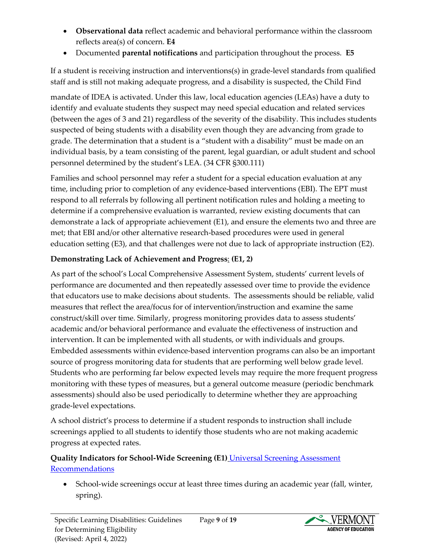- **Observational data** reflect academic and behavioral performance within the classroom reflects area(s) of concern. **E4**
- Documented **parental notifications** and participation throughout the process. **E5**

If a student is receiving instruction and interventions(s) in grade-level standards from qualified staff and is still not making adequate progress, and a disability is suspected, the Child Find

mandate of IDEA is activated. Under this law, local education agencies (LEAs) have a duty to identify and evaluate students they suspect may need special education and related services (between the ages of 3 and 21) regardless of the severity of the disability. This includes students suspected of being students with a disability even though they are advancing from grade to grade. The determination that a student is a "student with a disability" must be made on an individual basis, by a team consisting of the parent, legal guardian, or adult student and school personnel determined by the student's LEA. (34 CFR §300.111)

Families and school personnel may refer a student for a special education evaluation at any time, including prior to completion of any evidence-based interventions (EBI). The EPT must respond to all referrals by following all pertinent notification rules and holding a meeting to determine if a comprehensive evaluation is warranted, review existing documents that can demonstrate a lack of appropriate achievement (E1), and ensure the elements two and three are met; that EBI and/or other alternative research-based procedures were used in general education setting (E3), and that challenges were not due to lack of appropriate instruction (E2).

# **Demonstrating Lack of Achievement and Progress**: **(E1, 2)**

As part of the school's Local Comprehensive Assessment System, students' current levels of performance are documented and then repeatedly assessed over time to provide the evidence that educators use to make decisions about students. The assessments should be reliable, valid measures that reflect the area/focus for of intervention/instruction and examine the same construct/skill over time. Similarly, progress monitoring provides data to assess students' academic and/or behavioral performance and evaluate the effectiveness of instruction and intervention. It can be implemented with all students, or with individuals and groups. Embedded assessments within evidence-based intervention programs can also be an important source of progress monitoring data for students that are performing well below grade level. Students who are performing far below expected levels may require the more frequent progress monitoring with these types of measures, but a general outcome measure (periodic benchmark assessments) should also be used periodically to determine whether they are approaching grade-level expectations.

A school district's process to determine if a student responds to instruction shall include screenings applied to all students to identify those students who are not making academic progress at expected rates.

#### **Quality Indicators for School-Wide Screening (E1)** [Universal Screening Assessment](https://education.vermont.gov/documents/universal-screening-assessments-recommendations-to-support-a-strong-and-healthy-start)  [Recommendations](https://education.vermont.gov/documents/universal-screening-assessments-recommendations-to-support-a-strong-and-healthy-start)

• School-wide screenings occur at least three times during an academic year (fall, winter, spring).

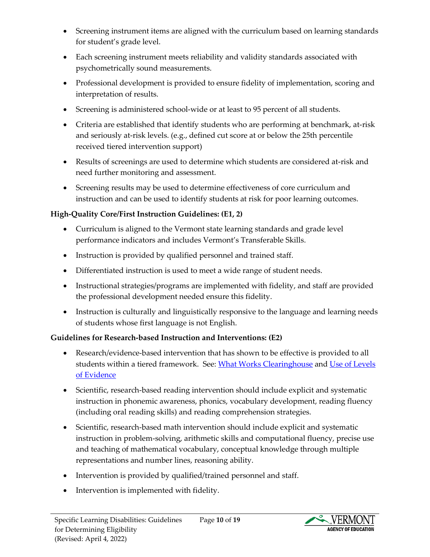- Screening instrument items are aligned with the curriculum based on learning standards for student's grade level.
- Each screening instrument meets reliability and validity standards associated with psychometrically sound measurements.
- Professional development is provided to ensure fidelity of implementation, scoring and interpretation of results.
- Screening is administered school-wide or at least to 95 percent of all students.
- Criteria are established that identify students who are performing at benchmark, at-risk and seriously at-risk levels. (e.g., defined cut score at or below the 25th percentile received tiered intervention support)
- Results of screenings are used to determine which students are considered at-risk and need further monitoring and assessment.
- Screening results may be used to determine effectiveness of core curriculum and instruction and can be used to identify students at risk for poor learning outcomes.

## **High-Quality Core/First Instruction Guidelines: (E1, 2)**

- Curriculum is aligned to the Vermont state learning standards and grade level performance indicators and includes [Vermont's Transferable Skills](https://education.vermont.gov/student-learning/proficiency-based-learning/transferable-skills).
- Instruction is provided by qualified personnel and trained staff.
- Differentiated instruction is used to meet a wide range of student needs.
- Instructional strategies/programs are implemented with fidelity, and staff are provided the professional development needed ensure this fidelity.
- Instruction is culturally and linguistically responsive to the language and learning needs of students whose first language is not English.

## **Guidelines for Research-based Instruction and Interventions: (E2)**

- Research/evidence-based intervention that has shown to be effective is provided to all students within a tiered framework. See: [What Works Clearinghouse](https://ies.ed.gov/) an[d Use of Levels](https://education.vermont.gov/sites/aoe/files/documents/edu-memo-evidence-base.pdf)  [of Evidence](https://education.vermont.gov/sites/aoe/files/documents/edu-memo-evidence-base.pdf)
- Scientific, research-based reading intervention should include explicit and systematic instruction in phonemic awareness, phonics, vocabulary development, reading fluency (including oral reading skills) and reading comprehension strategies.
- Scientific, research-based math intervention should include explicit and systematic instruction in problem-solving, arithmetic skills and computational fluency, precise use and teaching of mathematical vocabulary, conceptual knowledge through multiple representations and number lines, reasoning ability.
- Intervention is provided by qualified/trained personnel and staff.
- Intervention is implemented with fidelity.

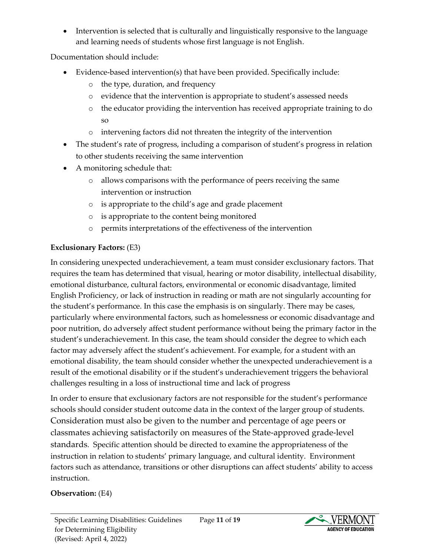• Intervention is selected that is culturally and linguistically responsive to the language and learning needs of students whose first language is not English.

Documentation should include:

- Evidence-based intervention(s) that have been provided. Specifically include:
	- o the type, duration, and frequency
	- o evidence that the intervention is appropriate to student's assessed needs
	- o the educator providing the intervention has received appropriate training to do so
	- o intervening factors did not threaten the integrity of the intervention
- The student's rate of progress, including a comparison of student's progress in relation to other students receiving the same intervention
- A monitoring schedule that:
	- o allows comparisons with the performance of peers receiving the same intervention or instruction
	- o is appropriate to the child's age and grade placement
	- o is appropriate to the content being monitored
	- o permits interpretations of the effectiveness of the intervention

# **Exclusionary Factors:** (E3)

In considering unexpected underachievement, a team must consider exclusionary factors. That requires the team has determined that visual, hearing or motor disability, intellectual disability, emotional disturbance, cultural factors, environmental or economic disadvantage, limited English Proficiency, or lack of instruction in reading or math are not singularly accounting for the student's performance. In this case the emphasis is on singularly. There may be cases, particularly where environmental factors, such as homelessness or economic disadvantage and poor nutrition, do adversely affect student performance without being the primary factor in the student's underachievement. In this case, the team should consider the degree to which each factor may adversely affect the student's achievement. For example, for a student with an emotional disability, the team should consider whether the unexpected underachievement is a result of the emotional disability or if the student's underachievement triggers the behavioral challenges resulting in a loss of instructional time and lack of progress

In order to ensure that exclusionary factors are not responsible for the student's performance schools should consider student outcome data in the context of the larger group of students. Consideration must also be given to the number and percentage of age peers or classmates achieving satisfactorily on measures of the State-approved grade-level standards. Specific attention should be directed to examine the appropriateness of the instruction in relation to students' primary language, and cultural identity. Environment factors such as attendance, transitions or other disruptions can affect students' ability to access instruction.

## **Observation:** (E4)

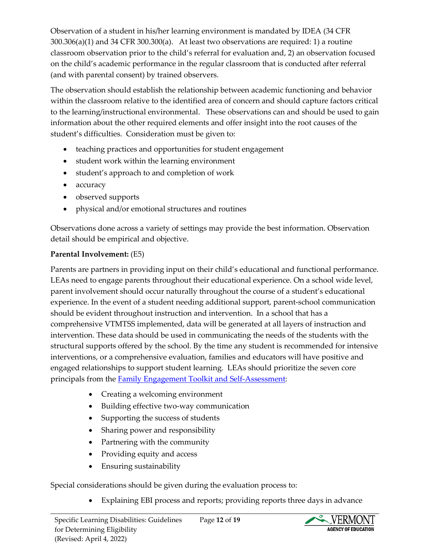Observation of a student in his/her learning environment is mandated by IDEA (34 CFR 300.306(a)(1) and 34 CFR 300.300(a). At least two observations are required: 1) a routine classroom observation prior to the child's referral for evaluation and, 2) an observation focused on the child's academic performance in the regular classroom that is conducted after referral (and with parental consent) by trained observers.

The observation should establish the relationship between academic functioning and behavior within the classroom relative to the identified area of concern and should capture factors critical to the learning/instructional environmental. These observations can and should be used to gain information about the other required elements and offer insight into the root causes of the student's difficulties. Consideration must be given to:

- teaching practices and opportunities for student engagement
- student work within the learning environment
- student's approach to and completion of work
- accuracy
- observed supports
- physical and/or emotional structures and routines

Observations done across a variety of settings may provide the best information. Observation detail should be empirical and objective.

#### **Parental Involvement:** (E5)

Parents are partners in providing input on their child's educational and functional performance. LEAs need to engage parents throughout their educational experience. On a school wide level, parent involvement should occur naturally throughout the course of a student's educational experience. In the event of a student needing additional support, parent-school communication should be evident throughout instruction and intervention. In a school that has a comprehensive VTMTSS implemented, data will be generated at all layers of instruction and intervention. These data should be used in communicating the needs of the students with the structural supports offered by the school. By the time any student is recommended for intensive interventions, or a comprehensive evaluation, families and educators will have positive and engaged relationships to support student learning. LEAs should prioritize the seven core principals from the [Family Engagement Toolkit and Self-Assessment:](https://education.vermont.gov/documents/edu-vermont-family-engagement-toolkit-and-self-assessment)

- Creating a welcoming environment
- Building effective two-way communication
- Supporting the success of students
- Sharing power and responsibility
- Partnering with the community
- Providing equity and access
- Ensuring sustainability

Special considerations should be given during the evaluation process to:

• Explaining EBI process and reports; providing reports three days in advance

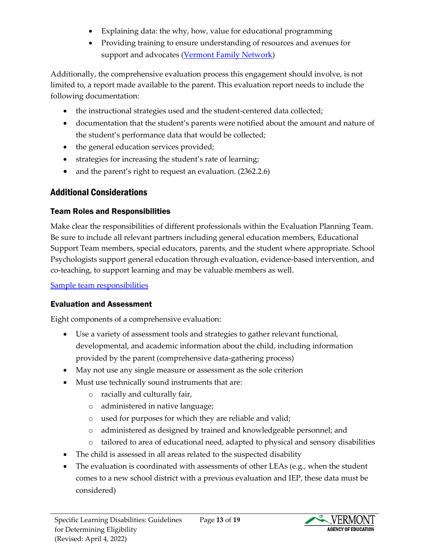- Explaining data: the why, how, value for educational programming
- Providing training to ensure understanding of resources and avenues for support and advocates [\(Vermont Family Network\)](https://www.vermontfamilynetwork.org/)

Additionally, the comprehensive evaluation process this engagement should involve, is not limited to, a report made available to the parent. This evaluation report needs to include the following documentation:

- the instructional strategies used and the student-centered data collected;
- documentation that the student's parents were notified about the amount and nature of the student's performance data that would be collected;
- the general education services provided;
- strategies for increasing the student's rate of learning;
- and the parent's right to request an evaluation. (2362.2.6)

# <span id="page-12-0"></span>Additional Considerations

# <span id="page-12-1"></span>Team Roles and Responsibilities

Make clear the responsibilities of different professionals within the Evaluation Planning Team. Be sure to include all relevant partners including general education members, Educational Support Team members, special educators, parents, and the student where appropriate. School Psychologists support general education through evaluation, evidence-based intervention, and co-teaching, to support learning and may be valuable members as well.

[Sample team responsibilities](https://vermontgov.sharepoint.com/:w:/r/teams/AOE.StudentSupportServicesGroup/Shared%20Documents/Special%20Education%20Team/New%20Rules%20Timelines%20for%20Roll%20Out/SLD%20Documents/SLD%20Team%20Responsibilities.docx?d=wfc66d877cc1f48c98e286d94fefa59f3&csf=1&web=1&e=tGjhC4)

# <span id="page-12-2"></span>Evaluation and Assessment

Eight components of a comprehensive evaluation:

- Use a variety of assessment tools and strategies to gather relevant functional, developmental, and academic information about the child, including information provided by the parent (comprehensive data-gathering process)
- May not use any single measure or assessment as the sole criterion
- Must use technically sound instruments that are:
	- o racially and culturally fair,
	- o administered in native language;
	- o used for purposes for which they are reliable and valid;
	- o administered as designed by trained and knowledgeable personnel; and
	- o tailored to area of educational need, adapted to physical and sensory disabilities
- The child is assessed in all areas related to the suspected disability
- The evaluation is coordinated with assessments of other LEAs (e.g., when the student comes to a new school district with a previous evaluation and IEP, these data must be considered)

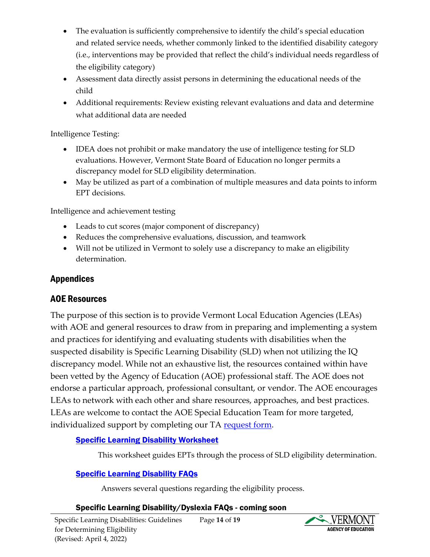- The evaluation is sufficiently comprehensive to identify the child's special education and related service needs, whether commonly linked to the identified disability category (i.e., interventions may be provided that reflect the child's individual needs regardless of the eligibility category)
- Assessment data directly assist persons in determining the educational needs of the child
- Additional requirements: Review existing relevant evaluations and data and determine what additional data are needed

Intelligence Testing:

- IDEA does not prohibit or make mandatory the use of intelligence testing for SLD evaluations. However, Vermont State Board of Education no longer permits a discrepancy model for SLD eligibility determination.
- May be utilized as part of a combination of multiple measures and data points to inform EPT decisions.

Intelligence and achievement testing

- Leads to cut scores (major component of discrepancy)
- Reduces the comprehensive evaluations, discussion, and teamwork
- Will not be utilized in Vermont to solely use a discrepancy to make an eligibility determination.

## <span id="page-13-0"></span>Appendices

## <span id="page-13-1"></span>AOE Resources

The purpose of this section is to provide Vermont Local Education Agencies (LEAs) with AOE and general resources to draw from in preparing and implementing a system and practices for identifying and evaluating students with disabilities when the suspected disability is Specific Learning Disability (SLD) when not utilizing the IQ discrepancy model. While not an exhaustive list, the resources contained within have been vetted by the Agency of Education (AOE) professional staff. The AOE does not endorse a particular approach, professional consultant, or vendor. The AOE encourages LEAs to network with each other and share resources, approaches, and best practices. LEAs are welcome to contact the AOE Special Education Team for more targeted, individualized support by completing our TA [request form.](https://education.vermont.gov/webform/special-education-professional-development-request-form)

#### **[Specific Learning Disability Worksheet](https://teams.microsoft.com/l/file/C1C45CC9-A307-46F5-B273-59DCEA7C2680?tenantId=20b4933b-baad-433c-9c02-70edcc7559c6&fileType=docx&objectUrl=https%3A%2F%2Fvermontgov.sharepoint.com%2Fteams%2FAOE.StudentSupportServicesGroup%2FShared%20Documents%2FSpecial%20Education%20Team%2FNew%20Rules%20Timelines%20for%20Roll%20Out%2FSLD%20Documents%2FREVIEW%2FSLD%20Determination%20Worksheet%2011-18-21.docx&baseUrl=https%3A%2F%2Fvermontgov.sharepoint.com%2Fteams%2FAOE.StudentSupportServicesGroup&serviceName=teams&threadId=19:5e1a07e7234c4e3bb8ba2e8437c8a8df@thread.skype&groupId=684913cd-62c0-4ce7-9926-804df4b218e0)**

This worksheet guides EPTs through the process of SLD eligibility determination.

## <span id="page-13-2"></span>**[Specific Learning Disability FAQs](https://teams.microsoft.com/l/file/DB4030BE-8789-40FE-902B-151EBCFA6075?tenantId=20b4933b-baad-433c-9c02-70edcc7559c6&fileType=docx&objectUrl=https%3A%2F%2Fvermontgov.sharepoint.com%2Fteams%2FAOE.StudentSupportServicesGroup%2FShared%20Documents%2FSpecial%20Education%20Team%2FNew%20Rules%20Timelines%20for%20Roll%20Out%2FSLD%20Documents%2FREVIEW%2FSLD%20FAQ.docx&baseUrl=https%3A%2F%2Fvermontgov.sharepoint.com%2Fteams%2FAOE.StudentSupportServicesGroup&serviceName=teams&threadId=19:5e1a07e7234c4e3bb8ba2e8437c8a8df@thread.skype&groupId=684913cd-62c0-4ce7-9926-804df4b218e0)**

Answers several questions regarding the eligibility process.

#### <span id="page-13-3"></span>Specific Learning Disability/Dyslexia FAQs - coming soon

Page **14** of **19**

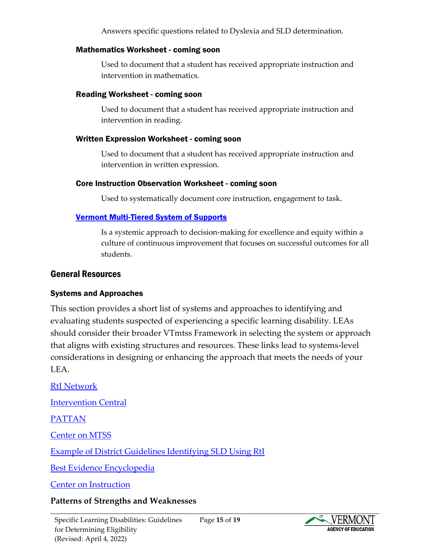Answers specific questions related to Dyslexia and SLD determination.

#### <span id="page-14-0"></span>Mathematics Worksheet - coming soon

Used to document that a student has received appropriate instruction and intervention in mathematics.

#### <span id="page-14-1"></span>Reading Worksheet - coming soon

Used to document that a student has received appropriate instruction and intervention in reading.

#### <span id="page-14-2"></span>Written Expression Worksheet - coming soon

Used to document that a student has received appropriate instruction and intervention in written expression.

#### <span id="page-14-3"></span>Core Instruction Observation Worksheet - coming soon

Used to systematically document core instruction, engagement to task.

#### <span id="page-14-4"></span>[Vermont Multi-Tiered System of Supports](https://education.vermont.gov/student-support/vermont-multi-tiered-system-of-supports)

Is a systemic approach to decision-making for excellence and equity within a culture of continuous improvement that focuses on successful outcomes for all students.

#### <span id="page-14-5"></span>General Resources

#### <span id="page-14-6"></span>Systems and Approaches

This section provides a short list of systems and approaches to identifying and evaluating students suspected of experiencing a specific learning disability. LEAs should consider their broader VTmtss Framework in selecting the system or approach that aligns with existing structures and resources. These links lead to systems-level considerations in designing or enhancing the approach that meets the needs of your LEA.

[RtI Network](http://www.rtinetwork.org/learn/what/whatisrti)

[Intervention Central](https://www.interventioncentral.org/)

[PATTAN](https://www.pattan.net/Multi-Tiered-System-of-Support/Response-to-Intervention-RTI/RTI-SLD-Determination)

[Center on MTSS](https://mtss4success.org/)

[Example of District Guidelines Identifying SLD Using RtI](https://www.misd.net/seresources/SLD%20Determination%20Using%20RTI%20MISD%20Guide%202018.pdf)

[Best Evidence Encyclopedia](https://bestevidence.org/)

[Center on Instruction](https://www.centeroninstruction.org/)

#### **Patterns of Strengths and Weaknesses**

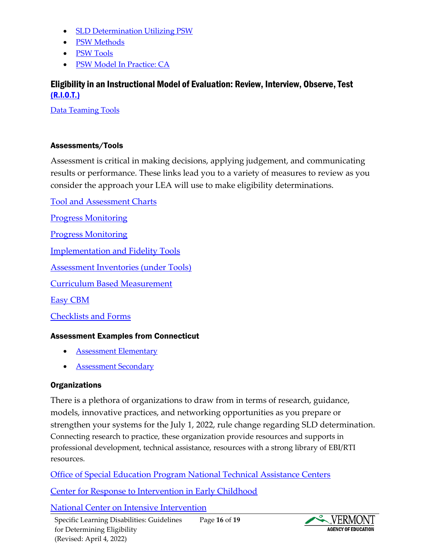- [SLD Determination Utilizing PSW](https://www.youtube.com/watch?v=JL1Yor3-EdU)
- [PSW Methods](https://www.the-ins.org/files/meeting_ce/dc2018/CE_01_Tt6OA7Q02w/CE1%20Fletcher%20Color.pdf)
- [PSW Tools](https://indianaieprc.org/images/lcmats/Evaluations/Detelig/SLDSession2withLeahNellis.pdf)
- [PSW Model In Practice: CA](https://www.chino.k12.ca.us/cms/lib/CA01902308/Centricity/Domain/730/CVUSD%20PSW%20Guidelines%20.pdf)

## <span id="page-15-0"></span>Eligibility in an Instructional Model of Evaluation: Review, Interview, Observe, Test [\(R.I.O.T.\)](https://teams.microsoft.com/l/file/D6868427-5371-465C-A975-D0FE2E8BAF1F?tenantId=20b4933b-baad-433c-9c02-70edcc7559c6&fileType=docx&objectUrl=https%3A%2F%2Fvermontgov.sharepoint.com%2Fteams%2FAOE.StudentSupportServicesGroup%2FShared%20Documents%2FSpecial%20Education%20Team%2FNew%20Rules%20Timelines%20for%20Roll%20Out%2FSLD%20Documents%2FREVIEW%2FSLD%20Riot%20Data%20Sources.docx&baseUrl=https%3A%2F%2Fvermontgov.sharepoint.com%2Fteams%2FAOE.StudentSupportServicesGroup&serviceName=teams&threadId=19:5e1a07e7234c4e3bb8ba2e8437c8a8df@thread.skype&groupId=684913cd-62c0-4ce7-9926-804df4b218e0)

[Data Teaming Tools](https://intensiveintervention.org/implementation-intervention/data-teaming)

#### <span id="page-15-1"></span>Assessments/Tools

Assessment is critical in making decisions, applying judgement, and communicating results or performance. These links lead you to a variety of measures to review as you consider the approach your LEA will use to make eligibility determinations.

[Tool and Assessment Charts](https://intensiveintervention.org/)

[Progress Monitoring](https://charts.intensiveintervention.org/aprogressmonitoring)

[Progress Monitoring](https://www.illuminateed.com/products/fastbridge/progress-monitoring-tool/)

[Implementation and Fidelity Tools](https://intensiveintervention.org/)

[Assessment Inventories \(under Tools\)](https://portal.ct.gov/SDE/SRBI/SRBI---Scientific-Research-Based-Interventions/Related-Resources)

[Curriculum Based Measurement](http://www.rtinetwork.org/essential/assessment/progress/usingcbm)

[Easy CBM](https://www.easycbm.com/)

[Checklists and Forms](http://www.rtinetwork.org/getstarted/checklists-and-forms)

#### <span id="page-15-2"></span>Assessment Examples from Connecticut

- **[Assessment Elementary](https://portal.ct.gov/-/media/SDE/SRBI/ELEMENTARY_ASSESSMENTS_4-9-12.pdf)**
- **[Assessment Secondary](https://portal.ct.gov/-/media/SDE/SRBI/SECONDARY_ASSESSMENTS_4-9-12.pdf)**

#### <span id="page-15-3"></span>**Organizations**

There is a plethora of organizations to draw from in terms of research, guidance, models, innovative practices, and networking opportunities as you prepare or strengthen your systems for the July 1, 2022, rule change regarding SLD determination. Connecting research to practice, these organization provide resources and supports in professional development, technical assistance, resources with a strong library of EBI/RTI resources.

[Office of Special Education Program National Technical Assistance Centers](https://osepideasthatwork.org/sites/default/files/OSEP%20TA%20Center%20Infographic_508.pdf)

[Center for Response to Intervention in Early Childhood](http://www.crtiec.dept.ku.edu/)

[National Center on Intensive Intervention](https://intensiveintervention.org/)

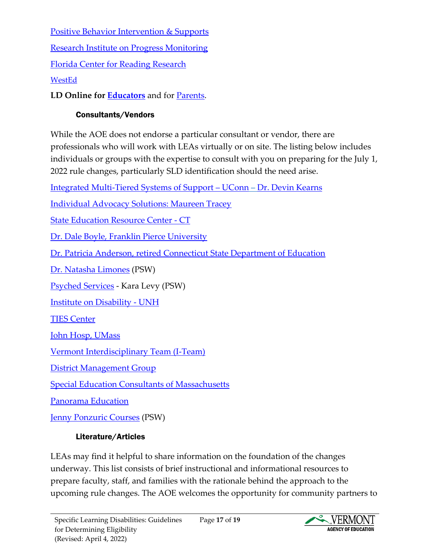[Positive Behavior Intervention & Supports](https://www.pbis.org/) [Research Institute on Progress Monitoring](https://www.progressmonitoring.org/cbm_handout.pdf) [Florida Center for Reading Research](http://www.fcrr.org/) [WestEd](https://www.wested.org/?q=Rti&search_type=google)

<span id="page-16-0"></span>**LD Online for [Educators](https://www.ldonline.org/educators)** and for [Parents.](https://www.ldonline.org/parents)

# Consultants/Vendors

While the AOE does not endorse a particular consultant or vendor, there are professionals who will work with LEAs virtually or on site. The listing below includes individuals or groups with the expertise to consult with you on preparing for the July 1, 2022 rule changes, particularly SLD identification should the need arise.

[Integrated Multi-Tiered Systems of Support](https://mtss.education.uconn.edu/) – UConn – [Dr. Devin Kearns](mailto:devin.kearns@uconn.edu)

[Individual Advocacy Solutions: Maureen Tracey](https://www.individualadvocacysolutions.com/)

[State Education Resource Center -](https://ctserc.org/) CT

[Dr. Dale Boyle, Franklin Pierce University](mailto:Dale%20Boyle%20%3cdsboyle88@gmail.com%3e)

[Dr. Patricia Anderson, retired Connecticut State Department of Education](mailto:DrPatSpEd@outlook.com)

[Dr. Natasha Limones](http://www.natashalimonesphd.com/) (PSW)

[Psyched Services](https://psychedservices.com/) - Kara Levy (PSW)

[Institute on Disability -](https://iod.unh.edu/technical-assistance-consultation) UNH

[TIES Center](https://tiescenter.org/)

[John Hosp, UMass](mailto:johnhosp@umass.edu)

[Vermont Interdisciplinary Team \(I-Team\)](https://www.uvm.edu/cess/cdci/vermont-i-team)

[District Management Group](https://www.dmgroupk12.com/)

[Special Education Consultants of Massachusetts](https://spedconsultants.com/about/)

[Panorama Education](https://www.panoramaed.com/blog/tag/mtss)

<span id="page-16-1"></span>[Jenny Ponzuric Courses](https://jennyponzuric.com/courses/#psw) (PSW)

# Literature/Articles

LEAs may find it helpful to share information on the foundation of the changes underway. This list consists of brief instructional and informational resources to prepare faculty, staff, and families with the rationale behind the approach to the upcoming rule changes. The AOE welcomes the opportunity for community partners to

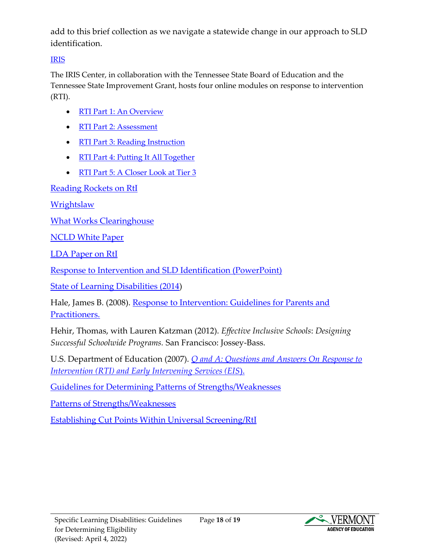add to this brief collection as we navigate a statewide change in our approach to SLD identification.

# [IRIS](https://iris.peabody.vanderbilt.edu/)

The IRIS Center, in collaboration with the Tennessee State Board of Education and the Tennessee State Improvement Grant, hosts four online modules on response to intervention (RTI).

- [RTI Part 1: An Overview](http://iris.peabody.vanderbilt.edu/rti01_overview/chalcycle.htm)
- [RTI Part 2: Assessment](http://iris.peabody.vanderbilt.edu/rti02_assessment/chalcycle.htm)
- [RTI Part 3: Reading Instruction](http://iris.peabody.vanderbilt.edu/rti03_reading/chalcycle.htm)
- [RTI Part 4: Putting It All Together](http://iris.peabody.vanderbilt.edu/rti04_alltogether/chalcycle.htm)
- [RTI Part 5: A Closer Look at Tier 3](http://iris.peabody.vanderbilt.edu/rti05_tier3/chalcycle.htm)

[Reading Rockets on RtI](https://www.readingrockets.org/article/qa-response-intervention)

**[Wrightslaw](https://www.wrightslaw.com/info/rti.index.htm)** 

[What Works Clearinghouse](https://ies.ed.gov/ncee/wwc/)

[NCLD White Paper](https://www.ncld.org/wp-content/uploads/2019/11/NCLD-White-Paper-Evaluation-for-Specific-Learning-Disabilities-Allowable-Methods-of-Identification-Their-Implications.Final_.pdf)

[LDA Paper on RtI](https://ldaamerica.org/advocacy/lda-position-papers/response-to-intervention-rti/#:~:text=The%20Response%20to%20Intervention%20Process,up%20to%20grade%20level%20achievement.)

[Response to Intervention and SLD Identification \(PowerPoint\)](http://www.ideapartnership.org/documents/RTI-advanced-ppt-7-30-07.ppt)

[State of Learning Disabilities \(2014\)](https://www.ncld.org/wp-content/uploads/2014/11/2014-State-of-LD.pdf)

Hale, James B. (2008). [Response to Intervention: Guidelines for Parents and](https://www.wrightslaw.com/idea/art/rti.hale.htm)  [Practitioners.](https://www.wrightslaw.com/idea/art/rti.hale.htm)

Hehir, Thomas, with Lauren Katzman (2012). *Effective Inclusive Schools*: *Designing Successful Schoolwide Programs.* San Francisco: Jossey-Bass.

U.S. Department of Education (2007). *[Q and A: Questions and Answers On Response to](https://sites.ed.gov/idea/topic-areas/)  [Intervention \(RTI\) and Early Intervening Services \(EIS](https://sites.ed.gov/idea/topic-areas/)*).

[Guidelines for Determining Patterns of Strengths/Weaknesses](https://ldaamerica.org/wp-content/uploads/2013/10/Journal-Vol-18-2_article.pdf)

[Patterns of Strengths/Weaknesses](https://psychedservices.com/pattern-of-strengths-and-weaknesses/#:~:text=A%20pattern%20of%20strengths%20and%20weaknesses%20(PSW)%20is%20one%20approach,student%20is%20performing%20more%20poorly.)

[Establishing Cut Points Within Universal Screening/RtI](https://nysrti.org/files/documents/resources/screening/establishing_cut_points_within_un_screening_and_pm_tjap.pdf)